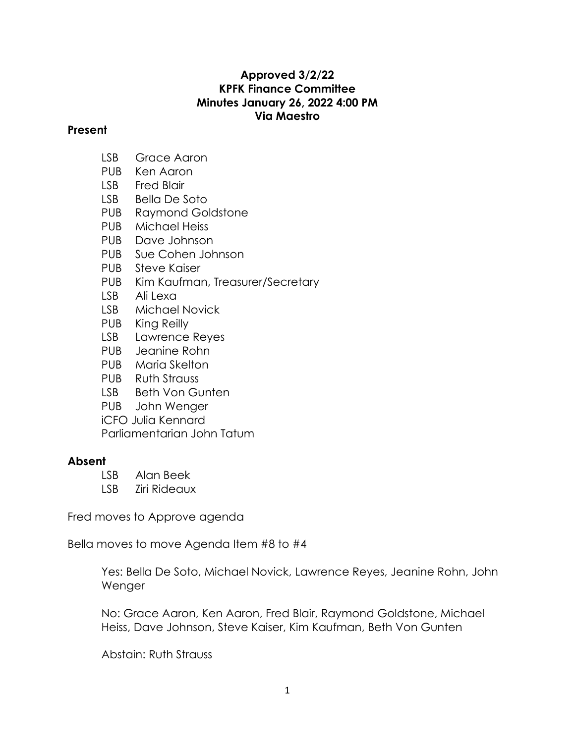## **Approved 3/2/22 KPFK Finance Committee Minutes January 26, 2022 4:00 PM Via Maestro**

## **Present**

- LSB Grace Aaron
- PUB Ken Aaron
- LSB Fred Blair
- LSB Bella De Soto
- PUB Raymond Goldstone
- PUB Michael Heiss
- PUB Dave Johnson
- PUB Sue Cohen Johnson
- PUB Steve Kaiser
- PUB Kim Kaufman, Treasurer/Secretary
- LSB Ali Lexa
- LSB Michael Novick
- PUB King Reilly
- LSB Lawrence Reyes
- PUB Jeanine Rohn
- PUB Maria Skelton
- PUB Ruth Strauss
- LSB Beth Von Gunten
- PUB John Wenger
- iCFO Julia Kennard

Parliamentarian John Tatum

## **Absent**

- LSB Alan Beek
- LSB Ziri Rideaux

Fred moves to Approve agenda

Bella moves to move Agenda Item #8 to #4

Yes: Bella De Soto, Michael Novick, Lawrence Reyes, Jeanine Rohn, John Wenger

No: Grace Aaron, Ken Aaron, Fred Blair, Raymond Goldstone, Michael Heiss, Dave Johnson, Steve Kaiser, Kim Kaufman, Beth Von Gunten

Abstain: Ruth Strauss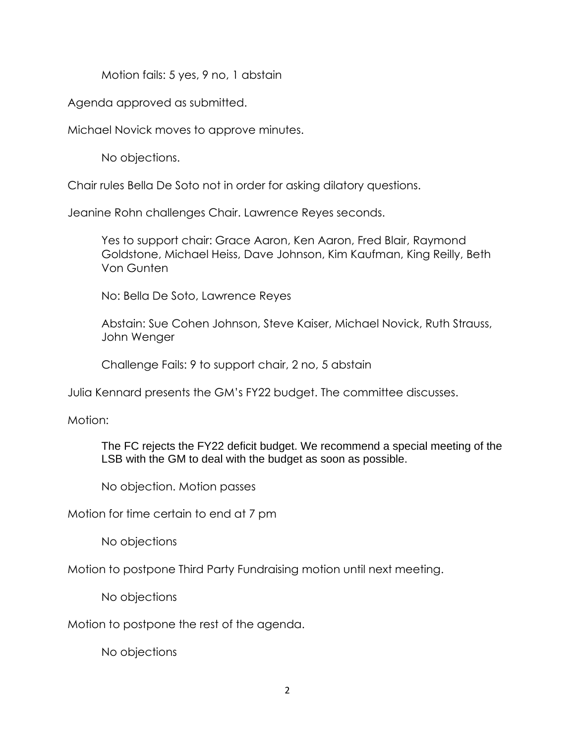Motion fails: 5 yes, 9 no, 1 abstain

Agenda approved as submitted.

Michael Novick moves to approve minutes.

No objections.

Chair rules Bella De Soto not in order for asking dilatory questions.

Jeanine Rohn challenges Chair. Lawrence Reyes seconds.

Yes to support chair: Grace Aaron, Ken Aaron, Fred Blair, Raymond Goldstone, Michael Heiss, Dave Johnson, Kim Kaufman, King Reilly, Beth Von Gunten

No: Bella De Soto, Lawrence Reyes

Abstain: Sue Cohen Johnson, Steve Kaiser, Michael Novick, Ruth Strauss, John Wenger

Challenge Fails: 9 to support chair, 2 no, 5 abstain

Julia Kennard presents the GM's FY22 budget. The committee discusses.

Motion:

The FC rejects the FY22 deficit budget. We recommend a special meeting of the LSB with the GM to deal with the budget as soon as possible.

No objection. Motion passes

Motion for time certain to end at 7 pm

No objections

Motion to postpone Third Party Fundraising motion until next meeting.

No objections

Motion to postpone the rest of the agenda.

No objections